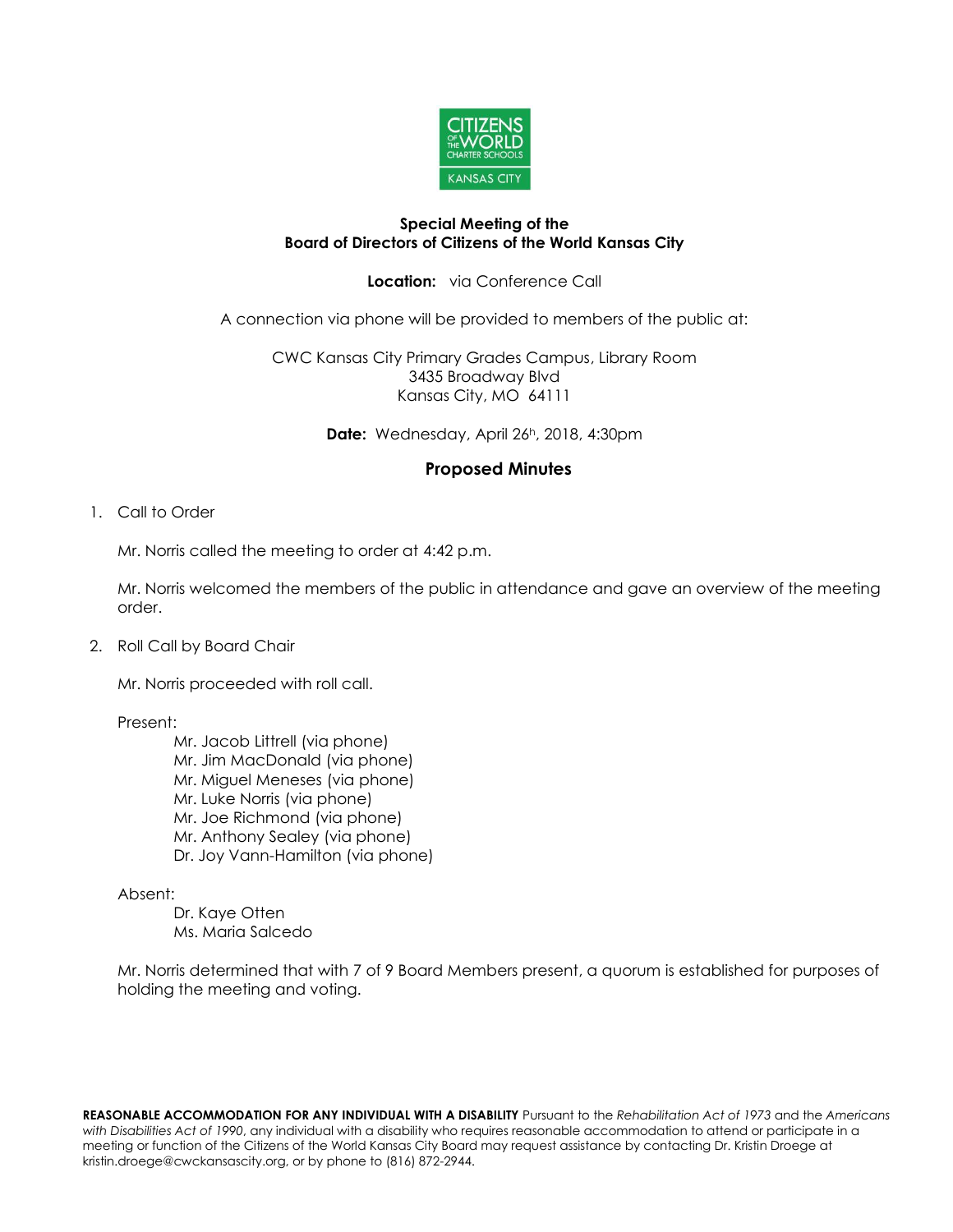

## **Special Meeting of the Board of Directors of Citizens of the World Kansas City**

## **Location:** via Conference Call

A connection via phone will be provided to members of the public at:

CWC Kansas City Primary Grades Campus, Library Room 3435 Broadway Blvd Kansas City, MO 64111

**Date:** Wednesday, April 26h, 2018, 4:30pm

## **Proposed Minutes**

## 1. Call to Order

Mr. Norris called the meeting to order at 4:42 p.m.

Mr. Norris welcomed the members of the public in attendance and gave an overview of the meeting order.

2. Roll Call by Board Chair

Mr. Norris proceeded with roll call.

Present:

Mr. Jacob Littrell (via phone) Mr. Jim MacDonald (via phone) Mr. Miguel Meneses (via phone) Mr. Luke Norris (via phone) Mr. Joe Richmond (via phone) Mr. Anthony Sealey (via phone) Dr. Joy Vann-Hamilton (via phone)

Absent:

Dr. Kaye Otten Ms. Maria Salcedo

Mr. Norris determined that with 7 of 9 Board Members present, a quorum is established for purposes of holding the meeting and voting.

**REASONABLE ACCOMMODATION FOR ANY INDIVIDUAL WITH A DISABILITY** Pursuant to the *Rehabilitation Act of 1973* and the *Americans with Disabilities Act of 1990*, any individual with a disability who requires reasonable accommodation to attend or participate in a meeting or function of the Citizens of the World Kansas City Board may request assistance by contacting Dr. Kristin Droege at kristin.droege@cwckansascity.org, or by phone to (816) 872-2944.